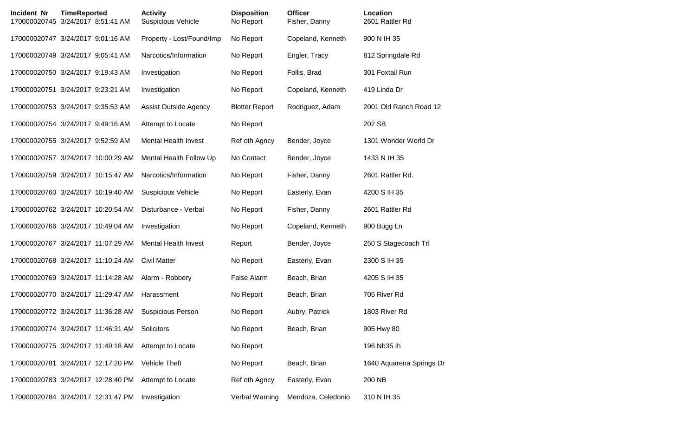| Incident_Nr | <b>TimeReported</b><br>170000020745 3/24/2017 8:51:41 AM | <b>Activity</b><br><b>Suspicious Vehicle</b> | <b>Disposition</b><br>No Report | <b>Officer</b><br>Fisher, Danny | Location<br>2601 Rattler Rd |
|-------------|----------------------------------------------------------|----------------------------------------------|---------------------------------|---------------------------------|-----------------------------|
|             | 170000020747 3/24/2017 9:01:16 AM                        | Property - Lost/Found/Imp                    | No Report                       | Copeland, Kenneth               | 900 N IH 35                 |
|             | 170000020749 3/24/2017 9:05:41 AM                        | Narcotics/Information                        | No Report                       | Engler, Tracy                   | 812 Springdale Rd           |
|             | 170000020750 3/24/2017 9:19:43 AM                        | Investigation                                | No Report                       | Follis, Brad                    | 301 Foxtail Run             |
|             | 170000020751 3/24/2017 9:23:21 AM                        | Investigation                                | No Report                       | Copeland, Kenneth               | 419 Linda Dr                |
|             | 170000020753 3/24/2017 9:35:53 AM                        | <b>Assist Outside Agency</b>                 | <b>Blotter Report</b>           | Rodriguez, Adam                 | 2001 Old Ranch Road 12      |
|             | 170000020754 3/24/2017 9:49:16 AM                        | Attempt to Locate                            | No Report                       |                                 | 202 SB                      |
|             | 170000020755 3/24/2017 9:52:59 AM                        | <b>Mental Health Invest</b>                  | Ref oth Agncy                   | Bender, Joyce                   | 1301 Wonder World Dr        |
|             | 170000020757 3/24/2017 10:00:29 AM                       | Mental Health Follow Up                      | No Contact                      | Bender, Joyce                   | 1433 N IH 35                |
|             | 170000020759 3/24/2017 10:15:47 AM                       | Narcotics/Information                        | No Report                       | Fisher, Danny                   | 2601 Rattler Rd.            |
|             | 170000020760 3/24/2017 10:19:40 AM                       | <b>Suspicious Vehicle</b>                    | No Report                       | Easterly, Evan                  | 4200 S IH 35                |
|             | 170000020762 3/24/2017 10:20:54 AM                       | Disturbance - Verbal                         | No Report                       | Fisher, Danny                   | 2601 Rattler Rd             |
|             | 170000020766 3/24/2017 10:49:04 AM                       | Investigation                                | No Report                       | Copeland, Kenneth               | 900 Bugg Ln                 |
|             | 170000020767 3/24/2017 11:07:29 AM                       | <b>Mental Health Invest</b>                  | Report                          | Bender, Joyce                   | 250 S Stagecoach Trl        |
|             | 170000020768 3/24/2017 11:10:24 AM                       | <b>Civil Matter</b>                          | No Report                       | Easterly, Evan                  | 2300 S IH 35                |
|             | 170000020769 3/24/2017 11:14:28 AM                       | Alarm - Robbery                              | <b>False Alarm</b>              | Beach, Brian                    | 4205 S IH 35                |
|             | 170000020770 3/24/2017 11:29:47 AM                       | Harassment                                   | No Report                       | Beach, Brian                    | 705 River Rd                |
|             | 170000020772 3/24/2017 11:36:28 AM                       | <b>Suspicious Person</b>                     | No Report                       | Aubry, Patrick                  | 1803 River Rd               |
|             | 170000020774 3/24/2017 11:46:31 AM                       | Solicitors                                   | No Report                       | Beach, Brian                    | 905 Hwy 80                  |
|             | 170000020775 3/24/2017 11:49:18 AM                       | Attempt to Locate                            | No Report                       |                                 | 196 Nb35 lh                 |
|             | 170000020781 3/24/2017 12:17:20 PM                       | Vehicle Theft                                | No Report                       | Beach, Brian                    | 1640 Aquarena Springs Dr    |
|             | 170000020783 3/24/2017 12:28:40 PM                       | Attempt to Locate                            | Ref oth Agncy                   | Easterly, Evan                  | 200 NB                      |
|             | 170000020784 3/24/2017 12:31:47 PM                       | Investigation                                | Verbal Warning                  | Mendoza, Celedonio              | 310 N IH 35                 |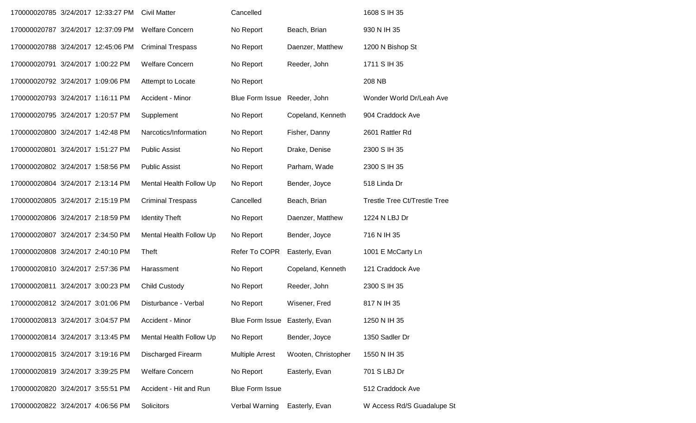| 170000020785 3/24/2017 12:33:27 PM |  | <b>Civil Matter</b>      | Cancelled                      |                     | 1608 S IH 35                        |
|------------------------------------|--|--------------------------|--------------------------------|---------------------|-------------------------------------|
| 170000020787 3/24/2017 12:37:09 PM |  | <b>Welfare Concern</b>   | No Report                      | Beach, Brian        | 930 N IH 35                         |
| 170000020788 3/24/2017 12:45:06 PM |  | <b>Criminal Trespass</b> | No Report                      | Daenzer, Matthew    | 1200 N Bishop St                    |
| 170000020791 3/24/2017 1:00:22 PM  |  | <b>Welfare Concern</b>   | No Report                      | Reeder, John        | 1711 S IH 35                        |
| 170000020792 3/24/2017 1:09:06 PM  |  | Attempt to Locate        | No Report                      |                     | 208 NB                              |
| 170000020793 3/24/2017 1:16:11 PM  |  | Accident - Minor         | <b>Blue Form Issue</b>         | Reeder, John        | Wonder World Dr/Leah Ave            |
| 170000020795 3/24/2017 1:20:57 PM  |  | Supplement               | No Report                      | Copeland, Kenneth   | 904 Craddock Ave                    |
| 170000020800 3/24/2017 1:42:48 PM  |  | Narcotics/Information    | No Report                      | Fisher, Danny       | 2601 Rattler Rd                     |
| 170000020801 3/24/2017 1:51:27 PM  |  | <b>Public Assist</b>     | No Report                      | Drake, Denise       | 2300 S IH 35                        |
| 170000020802 3/24/2017 1:58:56 PM  |  | <b>Public Assist</b>     | No Report                      | Parham, Wade        | 2300 S IH 35                        |
| 170000020804 3/24/2017 2:13:14 PM  |  | Mental Health Follow Up  | No Report                      | Bender, Joyce       | 518 Linda Dr                        |
| 170000020805 3/24/2017 2:15:19 PM  |  | <b>Criminal Trespass</b> | Cancelled                      | Beach, Brian        | <b>Trestle Tree Ct/Trestle Tree</b> |
| 170000020806 3/24/2017 2:18:59 PM  |  | <b>Identity Theft</b>    | No Report                      | Daenzer, Matthew    | 1224 N LBJ Dr                       |
| 170000020807 3/24/2017 2:34:50 PM  |  | Mental Health Follow Up  | No Report                      | Bender, Joyce       | 716 N IH 35                         |
| 170000020808 3/24/2017 2:40:10 PM  |  | Theft                    | Refer To COPR                  | Easterly, Evan      | 1001 E McCarty Ln                   |
| 170000020810 3/24/2017 2:57:36 PM  |  | Harassment               | No Report                      | Copeland, Kenneth   | 121 Craddock Ave                    |
| 170000020811 3/24/2017 3:00:23 PM  |  | <b>Child Custody</b>     | No Report                      | Reeder, John        | 2300 S IH 35                        |
| 170000020812 3/24/2017 3:01:06 PM  |  | Disturbance - Verbal     | No Report                      | Wisener, Fred       | 817 N IH 35                         |
| 170000020813 3/24/2017 3:04:57 PM  |  | Accident - Minor         | Blue Form Issue Easterly, Evan |                     | 1250 N IH 35                        |
| 170000020814 3/24/2017 3:13:45 PM  |  | Mental Health Follow Up  | No Report                      | Bender, Joyce       | 1350 Sadler Dr                      |
| 170000020815 3/24/2017 3:19:16 PM  |  | Discharged Firearm       | <b>Multiple Arrest</b>         | Wooten, Christopher | 1550 N IH 35                        |
| 170000020819 3/24/2017 3:39:25 PM  |  | <b>Welfare Concern</b>   | No Report                      | Easterly, Evan      | 701 S LBJ Dr                        |
| 170000020820 3/24/2017 3:55:51 PM  |  | Accident - Hit and Run   | <b>Blue Form Issue</b>         |                     | 512 Craddock Ave                    |
| 170000020822 3/24/2017 4:06:56 PM  |  | Solicitors               | Verbal Warning                 | Easterly, Evan      | W Access Rd/S Guadalupe St          |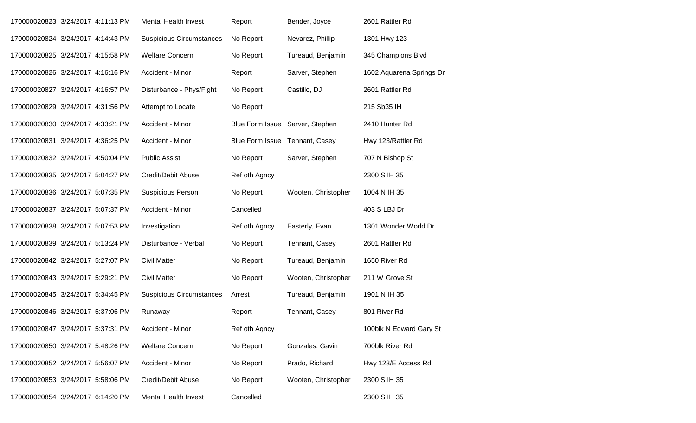| 170000020823 3/24/2017 4:11:13 PM |  | <b>Mental Health Invest</b>     | Report                         | Bender, Joyce                   | 2601 Rattler Rd          |
|-----------------------------------|--|---------------------------------|--------------------------------|---------------------------------|--------------------------|
| 170000020824 3/24/2017 4:14:43 PM |  | <b>Suspicious Circumstances</b> | No Report                      | Nevarez, Phillip                | 1301 Hwy 123             |
| 170000020825 3/24/2017 4:15:58 PM |  | <b>Welfare Concern</b>          | No Report                      | Tureaud, Benjamin               | 345 Champions Blvd       |
| 170000020826 3/24/2017 4:16:16 PM |  | Accident - Minor                | Report                         | Sarver, Stephen                 | 1602 Aquarena Springs Dr |
| 170000020827 3/24/2017 4:16:57 PM |  | Disturbance - Phys/Fight        | No Report                      | Castillo, DJ                    | 2601 Rattler Rd          |
| 170000020829 3/24/2017 4:31:56 PM |  | Attempt to Locate               | No Report                      |                                 | 215 Sb35 IH              |
| 170000020830 3/24/2017 4:33:21 PM |  | Accident - Minor                |                                | Blue Form Issue Sarver, Stephen | 2410 Hunter Rd           |
| 170000020831 3/24/2017 4:36:25 PM |  | Accident - Minor                | Blue Form Issue Tennant, Casey |                                 | Hwy 123/Rattler Rd       |
| 170000020832 3/24/2017 4:50:04 PM |  | <b>Public Assist</b>            | No Report                      | Sarver, Stephen                 | 707 N Bishop St          |
| 170000020835 3/24/2017 5:04:27 PM |  | Credit/Debit Abuse              | Ref oth Agncy                  |                                 | 2300 S IH 35             |
| 170000020836 3/24/2017 5:07:35 PM |  | <b>Suspicious Person</b>        | No Report                      | Wooten, Christopher             | 1004 N IH 35             |
| 170000020837 3/24/2017 5:07:37 PM |  | Accident - Minor                | Cancelled                      |                                 | 403 S LBJ Dr             |
| 170000020838 3/24/2017 5:07:53 PM |  | Investigation                   | Ref oth Agncy                  | Easterly, Evan                  | 1301 Wonder World Dr     |
| 170000020839 3/24/2017 5:13:24 PM |  | Disturbance - Verbal            | No Report                      | Tennant, Casey                  | 2601 Rattler Rd          |
| 170000020842 3/24/2017 5:27:07 PM |  | <b>Civil Matter</b>             | No Report                      | Tureaud, Benjamin               | 1650 River Rd            |
| 170000020843 3/24/2017 5:29:21 PM |  | <b>Civil Matter</b>             | No Report                      | Wooten, Christopher             | 211 W Grove St           |
| 170000020845 3/24/2017 5:34:45 PM |  | <b>Suspicious Circumstances</b> | Arrest                         | Tureaud, Benjamin               | 1901 N IH 35             |
| 170000020846 3/24/2017 5:37:06 PM |  | Runaway                         | Report                         | Tennant, Casey                  | 801 River Rd             |
| 170000020847 3/24/2017 5:37:31 PM |  | Accident - Minor                | Ref oth Agncy                  |                                 | 100blk N Edward Gary St  |
| 170000020850 3/24/2017 5:48:26 PM |  | <b>Welfare Concern</b>          | No Report                      | Gonzales, Gavin                 | 700blk River Rd          |
| 170000020852 3/24/2017 5:56:07 PM |  | Accident - Minor                | No Report                      | Prado, Richard                  | Hwy 123/E Access Rd      |
| 170000020853 3/24/2017 5:58:06 PM |  | Credit/Debit Abuse              | No Report                      | Wooten, Christopher             | 2300 S IH 35             |
| 170000020854 3/24/2017 6:14:20 PM |  | <b>Mental Health Invest</b>     | Cancelled                      |                                 | 2300 S IH 35             |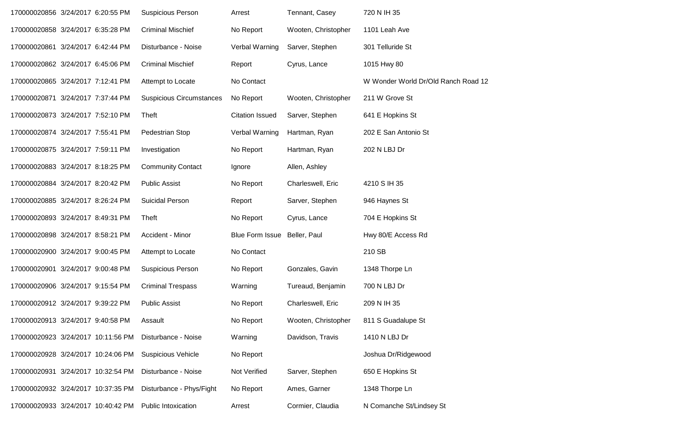| 170000020856 3/24/2017 6:20:55 PM  |  | <b>Suspicious Person</b>        | Arrest                       | Tennant, Casey      | 720 N IH 35                         |
|------------------------------------|--|---------------------------------|------------------------------|---------------------|-------------------------------------|
| 170000020858 3/24/2017 6:35:28 PM  |  | <b>Criminal Mischief</b>        | No Report                    | Wooten, Christopher | 1101 Leah Ave                       |
| 170000020861 3/24/2017 6:42:44 PM  |  | Disturbance - Noise             | Verbal Warning               | Sarver, Stephen     | 301 Telluride St                    |
| 170000020862 3/24/2017 6:45:06 PM  |  | <b>Criminal Mischief</b>        | Report                       | Cyrus, Lance        | 1015 Hwy 80                         |
| 170000020865 3/24/2017 7:12:41 PM  |  | Attempt to Locate               | No Contact                   |                     | W Wonder World Dr/Old Ranch Road 12 |
| 170000020871 3/24/2017 7:37:44 PM  |  | <b>Suspicious Circumstances</b> | No Report                    | Wooten, Christopher | 211 W Grove St                      |
| 170000020873 3/24/2017 7:52:10 PM  |  | Theft                           | <b>Citation Issued</b>       | Sarver, Stephen     | 641 E Hopkins St                    |
| 170000020874 3/24/2017 7:55:41 PM  |  | Pedestrian Stop                 | Verbal Warning               | Hartman, Ryan       | 202 E San Antonio St                |
| 170000020875 3/24/2017 7:59:11 PM  |  | Investigation                   | No Report                    | Hartman, Ryan       | 202 N LBJ Dr                        |
| 170000020883 3/24/2017 8:18:25 PM  |  | <b>Community Contact</b>        | Ignore                       | Allen, Ashley       |                                     |
| 170000020884 3/24/2017 8:20:42 PM  |  | <b>Public Assist</b>            | No Report                    | Charleswell, Eric   | 4210 S IH 35                        |
| 170000020885 3/24/2017 8:26:24 PM  |  | Suicidal Person                 | Report                       | Sarver, Stephen     | 946 Haynes St                       |
| 170000020893 3/24/2017 8:49:31 PM  |  | Theft                           | No Report                    | Cyrus, Lance        | 704 E Hopkins St                    |
| 170000020898 3/24/2017 8:58:21 PM  |  | Accident - Minor                | Blue Form Issue Beller, Paul |                     | Hwy 80/E Access Rd                  |
| 170000020900 3/24/2017 9:00:45 PM  |  | Attempt to Locate               | No Contact                   |                     | 210 SB                              |
| 170000020901 3/24/2017 9:00:48 PM  |  | Suspicious Person               | No Report                    | Gonzales, Gavin     | 1348 Thorpe Ln                      |
| 170000020906 3/24/2017 9:15:54 PM  |  | <b>Criminal Trespass</b>        | Warning                      | Tureaud, Benjamin   | 700 N LBJ Dr                        |
| 170000020912 3/24/2017 9:39:22 PM  |  | <b>Public Assist</b>            | No Report                    | Charleswell, Eric   | 209 N IH 35                         |
| 170000020913 3/24/2017 9:40:58 PM  |  | Assault                         | No Report                    | Wooten, Christopher | 811 S Guadalupe St                  |
| 170000020923 3/24/2017 10:11:56 PM |  | Disturbance - Noise             | Warning                      | Davidson, Travis    | 1410 N LBJ Dr                       |
| 170000020928 3/24/2017 10:24:06 PM |  | <b>Suspicious Vehicle</b>       | No Report                    |                     | Joshua Dr/Ridgewood                 |
| 170000020931 3/24/2017 10:32:54 PM |  | Disturbance - Noise             | Not Verified                 | Sarver, Stephen     | 650 E Hopkins St                    |
| 170000020932 3/24/2017 10:37:35 PM |  | Disturbance - Phys/Fight        | No Report                    | Ames, Garner        | 1348 Thorpe Ln                      |
| 170000020933 3/24/2017 10:40:42 PM |  | Public Intoxication             | Arrest                       | Cormier, Claudia    | N Comanche St/Lindsey St            |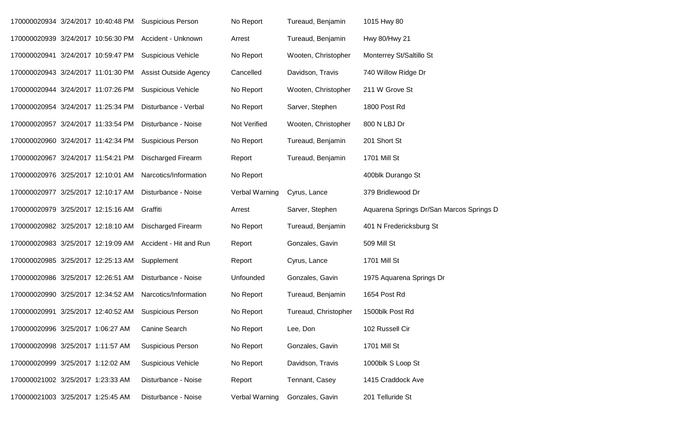|                                    |                       | 170000020934 3/24/2017 10:40:48 PM Suspicious Person  | No Report      | Tureaud, Benjamin    | 1015 Hwy 80                              |
|------------------------------------|-----------------------|-------------------------------------------------------|----------------|----------------------|------------------------------------------|
|                                    |                       | 170000020939 3/24/2017 10:56:30 PM Accident - Unknown | Arrest         | Tureaud, Benjamin    | Hwy 80/Hwy 21                            |
| 170000020941 3/24/2017 10:59:47 PM |                       | <b>Suspicious Vehicle</b>                             | No Report      | Wooten, Christopher  | Monterrey St/Saltillo St                 |
| 170000020943 3/24/2017 11:01:30 PM |                       | <b>Assist Outside Agency</b>                          | Cancelled      | Davidson, Travis     | 740 Willow Ridge Dr                      |
| 170000020944 3/24/2017 11:07:26 PM |                       | <b>Suspicious Vehicle</b>                             | No Report      | Wooten, Christopher  | 211 W Grove St                           |
| 170000020954 3/24/2017 11:25:34 PM |                       | Disturbance - Verbal                                  | No Report      | Sarver, Stephen      | 1800 Post Rd                             |
| 170000020957 3/24/2017 11:33:54 PM |                       | Disturbance - Noise                                   | Not Verified   | Wooten, Christopher  | 800 N LBJ Dr                             |
| 170000020960 3/24/2017 11:42:34 PM |                       | <b>Suspicious Person</b>                              | No Report      | Tureaud, Benjamin    | 201 Short St                             |
| 170000020967 3/24/2017 11:54:21 PM |                       | <b>Discharged Firearm</b>                             | Report         | Tureaud, Benjamin    | 1701 Mill St                             |
| 170000020976 3/25/2017 12:10:01 AM |                       | Narcotics/Information                                 | No Report      |                      | 400blk Durango St                        |
| 170000020977 3/25/2017 12:10:17 AM |                       | Disturbance - Noise                                   | Verbal Warning | Cyrus, Lance         | 379 Bridlewood Dr                        |
| 170000020979 3/25/2017 12:15:16 AM |                       | Graffiti                                              | Arrest         | Sarver, Stephen      | Aquarena Springs Dr/San Marcos Springs D |
| 170000020982 3/25/2017 12:18:10 AM |                       | <b>Discharged Firearm</b>                             | No Report      | Tureaud, Benjamin    | 401 N Fredericksburg St                  |
| 170000020983 3/25/2017 12:19:09 AM |                       | Accident - Hit and Run                                | Report         | Gonzales, Gavin      | 509 Mill St                              |
| 170000020985 3/25/2017 12:25:13 AM |                       | Supplement                                            | Report         | Cyrus, Lance         | 1701 Mill St                             |
| 170000020986 3/25/2017 12:26:51 AM |                       | Disturbance - Noise                                   | Unfounded      | Gonzales, Gavin      | 1975 Aquarena Springs Dr                 |
| 170000020990 3/25/2017 12:34:52 AM |                       | Narcotics/Information                                 | No Report      | Tureaud, Benjamin    | 1654 Post Rd                             |
| 170000020991                       | 3/25/2017 12:40:52 AM | <b>Suspicious Person</b>                              | No Report      | Tureaud, Christopher | 1500blk Post Rd                          |
| 170000020996 3/25/2017 1:06:27 AM  |                       | Canine Search                                         | No Report      | Lee, Don             | 102 Russell Cir                          |
| 170000020998 3/25/2017 1:11:57 AM  |                       | <b>Suspicious Person</b>                              | No Report      | Gonzales, Gavin      | 1701 Mill St                             |
| 170000020999 3/25/2017 1:12:02 AM  |                       | Suspicious Vehicle                                    | No Report      | Davidson, Travis     | 1000blk S Loop St                        |
| 170000021002 3/25/2017 1:23:33 AM  |                       | Disturbance - Noise                                   | Report         | Tennant, Casey       | 1415 Craddock Ave                        |
| 170000021003 3/25/2017 1:25:45 AM  |                       | Disturbance - Noise                                   | Verbal Warning | Gonzales, Gavin      | 201 Telluride St                         |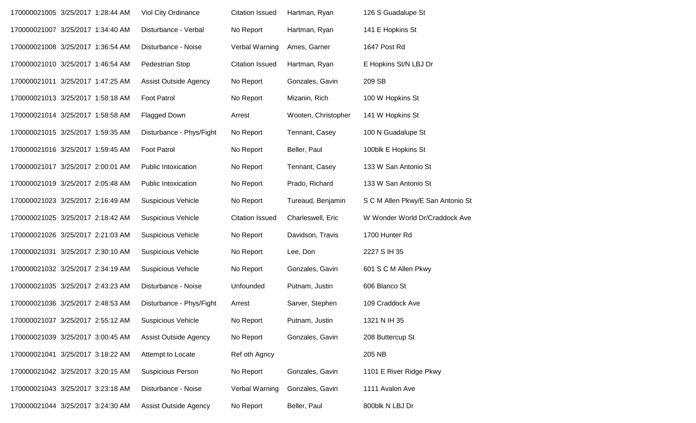| 170000021005 3/25/2017 1:28:44 AM | Viol City Ordinance          | <b>Citation Issued</b> | Hartman, Ryan       | 126 S Guadalupe St                |
|-----------------------------------|------------------------------|------------------------|---------------------|-----------------------------------|
| 170000021007 3/25/2017 1:34:40 AM | Disturbance - Verbal         | No Report              | Hartman, Ryan       | 141 E Hopkins St                  |
| 170000021008 3/25/2017 1:36:54 AM | Disturbance - Noise          | Verbal Warning         | Ames, Garner        | 1647 Post Rd                      |
| 170000021010 3/25/2017 1:46:54 AM | Pedestrian Stop              | <b>Citation Issued</b> | Hartman, Ryan       | E Hopkins St/N LBJ Dr             |
| 170000021011 3/25/2017 1:47:25 AM | <b>Assist Outside Agency</b> | No Report              | Gonzales, Gavin     | 209 SB                            |
| 170000021013 3/25/2017 1:58:18 AM | <b>Foot Patrol</b>           | No Report              | Mizanin, Rich       | 100 W Hopkins St                  |
| 170000021014 3/25/2017 1:58:58 AM | <b>Flagged Down</b>          | Arrest                 | Wooten, Christopher | 141 W Hopkins St                  |
| 170000021015 3/25/2017 1:59:35 AM | Disturbance - Phys/Fight     | No Report              | Tennant, Casey      | 100 N Guadalupe St                |
| 170000021016 3/25/2017 1:59:45 AM | <b>Foot Patrol</b>           | No Report              | Beller, Paul        | 100blk E Hopkins St               |
| 170000021017 3/25/2017 2:00:01 AM | Public Intoxication          | No Report              | Tennant, Casey      | 133 W San Antonio St              |
| 170000021019 3/25/2017 2:05:48 AM | <b>Public Intoxication</b>   | No Report              | Prado, Richard      | 133 W San Antonio St              |
| 170000021023 3/25/2017 2:16:49 AM | <b>Suspicious Vehicle</b>    | No Report              | Tureaud, Benjamin   | S C M Allen Pkwy/E San Antonio St |
| 170000021025 3/25/2017 2:18:42 AM | <b>Suspicious Vehicle</b>    | <b>Citation Issued</b> | Charleswell, Eric   | W Wonder World Dr/Craddock Ave    |
| 170000021026 3/25/2017 2:21:03 AM | <b>Suspicious Vehicle</b>    | No Report              | Davidson, Travis    | 1700 Hunter Rd                    |
| 170000021031 3/25/2017 2:30:10 AM | <b>Suspicious Vehicle</b>    | No Report              | Lee, Don            | 2227 S IH 35                      |
| 170000021032 3/25/2017 2:34:19 AM | <b>Suspicious Vehicle</b>    | No Report              | Gonzales, Gavin     | 601 S C M Allen Pkwy              |
| 170000021035 3/25/2017 2:43:23 AM | Disturbance - Noise          | Unfounded              | Putnam, Justin      | 606 Blanco St                     |
| 170000021036 3/25/2017 2:48:53 AM | Disturbance - Phys/Fight     | Arrest                 | Sarver, Stephen     | 109 Craddock Ave                  |
| 170000021037 3/25/2017 2:55:12 AM | <b>Suspicious Vehicle</b>    | No Report              | Putnam, Justin      | 1321 N IH 35                      |
| 170000021039 3/25/2017 3:00:45 AM | <b>Assist Outside Agency</b> | No Report              | Gonzales, Gavin     | 208 Buttercup St                  |
| 170000021041 3/25/2017 3:18:22 AM | Attempt to Locate            | Ref oth Agncy          |                     | 205 NB                            |
| 170000021042 3/25/2017 3:20:15 AM | Suspicious Person            | No Report              | Gonzales, Gavin     | 1101 E River Ridge Pkwy           |
| 170000021043 3/25/2017 3:23:18 AM | Disturbance - Noise          | Verbal Warning         | Gonzales, Gavin     | 1111 Avalon Ave                   |
| 170000021044 3/25/2017 3:24:30 AM | <b>Assist Outside Agency</b> | No Report              | Beller, Paul        | 800blk N LBJ Dr                   |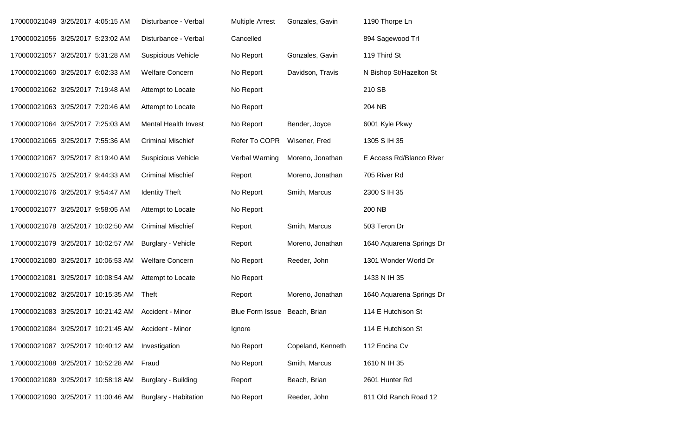| 170000021049 3/25/2017 4:05:15 AM  |  | Disturbance - Verbal         | <b>Multiple Arrest</b> | Gonzales, Gavin   | 1190 Thorpe Ln           |
|------------------------------------|--|------------------------------|------------------------|-------------------|--------------------------|
| 170000021056 3/25/2017 5:23:02 AM  |  | Disturbance - Verbal         | Cancelled              |                   | 894 Sagewood Trl         |
| 170000021057 3/25/2017 5:31:28 AM  |  | <b>Suspicious Vehicle</b>    | No Report              | Gonzales, Gavin   | 119 Third St             |
| 170000021060 3/25/2017 6:02:33 AM  |  | <b>Welfare Concern</b>       | No Report              | Davidson, Travis  | N Bishop St/Hazelton St  |
| 170000021062 3/25/2017 7:19:48 AM  |  | Attempt to Locate            | No Report              |                   | 210 SB                   |
| 170000021063 3/25/2017 7:20:46 AM  |  | Attempt to Locate            | No Report              |                   | 204 NB                   |
| 170000021064 3/25/2017 7:25:03 AM  |  | <b>Mental Health Invest</b>  | No Report              | Bender, Joyce     | 6001 Kyle Pkwy           |
| 170000021065 3/25/2017 7:55:36 AM  |  | <b>Criminal Mischief</b>     | Refer To COPR          | Wisener, Fred     | 1305 S IH 35             |
| 170000021067 3/25/2017 8:19:40 AM  |  | <b>Suspicious Vehicle</b>    | Verbal Warning         | Moreno, Jonathan  | E Access Rd/Blanco River |
| 170000021075 3/25/2017 9:44:33 AM  |  | <b>Criminal Mischief</b>     | Report                 | Moreno, Jonathan  | 705 River Rd             |
| 170000021076 3/25/2017 9:54:47 AM  |  | <b>Identity Theft</b>        | No Report              | Smith, Marcus     | 2300 S IH 35             |
| 170000021077 3/25/2017 9:58:05 AM  |  | Attempt to Locate            | No Report              |                   | 200 NB                   |
| 170000021078 3/25/2017 10:02:50 AM |  | <b>Criminal Mischief</b>     | Report                 | Smith, Marcus     | 503 Teron Dr             |
| 170000021079 3/25/2017 10:02:57 AM |  | Burglary - Vehicle           | Report                 | Moreno, Jonathan  | 1640 Aquarena Springs Dr |
| 170000021080 3/25/2017 10:06:53 AM |  | <b>Welfare Concern</b>       | No Report              | Reeder, John      | 1301 Wonder World Dr     |
| 170000021081 3/25/2017 10:08:54 AM |  | Attempt to Locate            | No Report              |                   | 1433 N IH 35             |
| 170000021082 3/25/2017 10:15:35 AM |  | Theft                        | Report                 | Moreno, Jonathan  | 1640 Aquarena Springs Dr |
| 170000021083 3/25/2017 10:21:42 AM |  | Accident - Minor             | <b>Blue Form Issue</b> | Beach, Brian      | 114 E Hutchison St       |
| 170000021084 3/25/2017 10:21:45 AM |  | Accident - Minor             | Ignore                 |                   | 114 E Hutchison St       |
| 170000021087 3/25/2017 10:40:12 AM |  | Investigation                | No Report              | Copeland, Kenneth | 112 Encina Cv            |
| 170000021088 3/25/2017 10:52:28 AM |  | Fraud                        | No Report              | Smith, Marcus     | 1610 N IH 35             |
| 170000021089 3/25/2017 10:58:18 AM |  | Burglary - Building          | Report                 | Beach, Brian      | 2601 Hunter Rd           |
| 170000021090 3/25/2017 11:00:46 AM |  | <b>Burglary - Habitation</b> | No Report              | Reeder, John      | 811 Old Ranch Road 12    |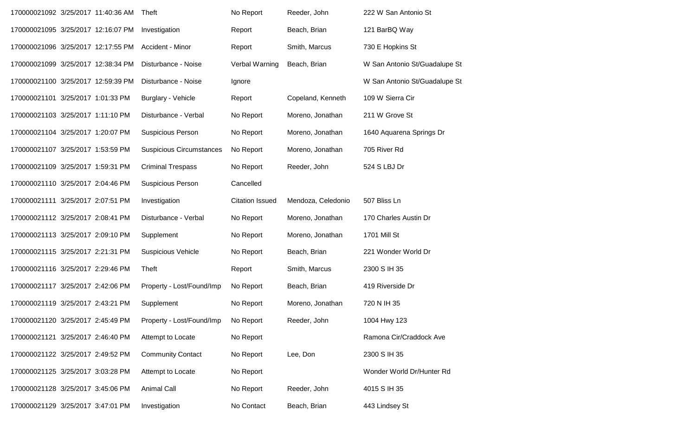| 170000021092 3/25/2017 11:40:36 AM |  | Theft                           | No Report              | Reeder, John       | 222 W San Antonio St          |
|------------------------------------|--|---------------------------------|------------------------|--------------------|-------------------------------|
| 170000021095 3/25/2017 12:16:07 PM |  | Investigation                   | Report                 | Beach, Brian       | 121 BarBQ Way                 |
| 170000021096 3/25/2017 12:17:55 PM |  | Accident - Minor                | Report                 | Smith, Marcus      | 730 E Hopkins St              |
| 170000021099 3/25/2017 12:38:34 PM |  | Disturbance - Noise             | Verbal Warning         | Beach, Brian       | W San Antonio St/Guadalupe St |
| 170000021100 3/25/2017 12:59:39 PM |  | Disturbance - Noise             | Ignore                 |                    | W San Antonio St/Guadalupe St |
| 170000021101 3/25/2017 1:01:33 PM  |  | Burglary - Vehicle              | Report                 | Copeland, Kenneth  | 109 W Sierra Cir              |
| 170000021103 3/25/2017 1:11:10 PM  |  | Disturbance - Verbal            | No Report              | Moreno, Jonathan   | 211 W Grove St                |
| 170000021104 3/25/2017 1:20:07 PM  |  | <b>Suspicious Person</b>        | No Report              | Moreno, Jonathan   | 1640 Aquarena Springs Dr      |
| 170000021107 3/25/2017 1:53:59 PM  |  | <b>Suspicious Circumstances</b> | No Report              | Moreno, Jonathan   | 705 River Rd                  |
| 170000021109 3/25/2017 1:59:31 PM  |  | <b>Criminal Trespass</b>        | No Report              | Reeder, John       | 524 S LBJ Dr                  |
| 170000021110 3/25/2017 2:04:46 PM  |  | <b>Suspicious Person</b>        | Cancelled              |                    |                               |
| 170000021111 3/25/2017 2:07:51 PM  |  | Investigation                   | <b>Citation Issued</b> | Mendoza, Celedonio | 507 Bliss Ln                  |
| 170000021112 3/25/2017 2:08:41 PM  |  | Disturbance - Verbal            | No Report              | Moreno, Jonathan   | 170 Charles Austin Dr         |
| 170000021113 3/25/2017 2:09:10 PM  |  | Supplement                      | No Report              | Moreno, Jonathan   | 1701 Mill St                  |
| 170000021115 3/25/2017 2:21:31 PM  |  | <b>Suspicious Vehicle</b>       | No Report              | Beach, Brian       | 221 Wonder World Dr           |
| 170000021116 3/25/2017 2:29:46 PM  |  | Theft                           | Report                 | Smith, Marcus      | 2300 S IH 35                  |
| 170000021117 3/25/2017 2:42:06 PM  |  | Property - Lost/Found/Imp       | No Report              | Beach, Brian       | 419 Riverside Dr              |
| 170000021119 3/25/2017 2:43:21 PM  |  | Supplement                      | No Report              | Moreno, Jonathan   | 720 N IH 35                   |
| 170000021120 3/25/2017 2:45:49 PM  |  | Property - Lost/Found/Imp       | No Report              | Reeder, John       | 1004 Hwy 123                  |
| 170000021121 3/25/2017 2:46:40 PM  |  | Attempt to Locate               | No Report              |                    | Ramona Cir/Craddock Ave       |
| 170000021122 3/25/2017 2:49:52 PM  |  | <b>Community Contact</b>        | No Report              | Lee, Don           | 2300 S IH 35                  |
| 170000021125 3/25/2017 3:03:28 PM  |  | Attempt to Locate               | No Report              |                    | Wonder World Dr/Hunter Rd     |
| 170000021128 3/25/2017 3:45:06 PM  |  | <b>Animal Call</b>              | No Report              | Reeder, John       | 4015 S IH 35                  |
| 170000021129 3/25/2017 3:47:01 PM  |  | Investigation                   | No Contact             | Beach, Brian       | 443 Lindsey St                |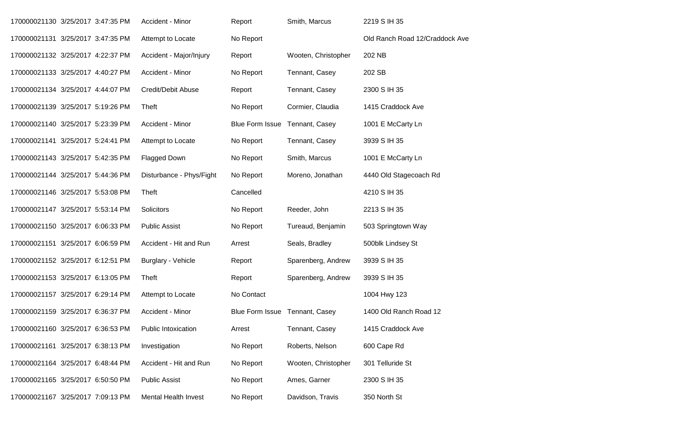| 170000021130 3/25/2017 3:47:35 PM |  | Accident - Minor          | Report                         | Smith, Marcus       | 2219 S IH 35                   |
|-----------------------------------|--|---------------------------|--------------------------------|---------------------|--------------------------------|
| 170000021131 3/25/2017 3:47:35 PM |  | Attempt to Locate         | No Report                      |                     | Old Ranch Road 12/Craddock Ave |
| 170000021132 3/25/2017 4:22:37 PM |  | Accident - Major/Injury   | Report                         | Wooten, Christopher | 202 NB                         |
| 170000021133 3/25/2017 4:40:27 PM |  | Accident - Minor          | No Report                      | Tennant, Casey      | 202 SB                         |
| 170000021134 3/25/2017 4:44:07 PM |  | Credit/Debit Abuse        | Report                         | Tennant, Casey      | 2300 S IH 35                   |
| 170000021139 3/25/2017 5:19:26 PM |  | Theft                     | No Report                      | Cormier, Claudia    | 1415 Craddock Ave              |
| 170000021140 3/25/2017 5:23:39 PM |  | Accident - Minor          | <b>Blue Form Issue</b>         | Tennant, Casey      | 1001 E McCarty Ln              |
| 170000021141 3/25/2017 5:24:41 PM |  | Attempt to Locate         | No Report                      | Tennant, Casey      | 3939 S IH 35                   |
| 170000021143 3/25/2017 5:42:35 PM |  | Flagged Down              | No Report                      | Smith, Marcus       | 1001 E McCarty Ln              |
| 170000021144 3/25/2017 5:44:36 PM |  | Disturbance - Phys/Fight  | No Report                      | Moreno, Jonathan    | 4440 Old Stagecoach Rd         |
| 170000021146 3/25/2017 5:53:08 PM |  | Theft                     | Cancelled                      |                     | 4210 S IH 35                   |
| 170000021147 3/25/2017 5:53:14 PM |  | Solicitors                | No Report                      | Reeder, John        | 2213 S IH 35                   |
| 170000021150 3/25/2017 6:06:33 PM |  | <b>Public Assist</b>      | No Report                      | Tureaud, Benjamin   | 503 Springtown Way             |
| 170000021151 3/25/2017 6:06:59 PM |  | Accident - Hit and Run    | Arrest                         | Seals, Bradley      | 500blk Lindsey St              |
| 170000021152 3/25/2017 6:12:51 PM |  | <b>Burglary - Vehicle</b> | Report                         | Sparenberg, Andrew  | 3939 S IH 35                   |
| 170000021153 3/25/2017 6:13:05 PM |  | Theft                     | Report                         | Sparenberg, Andrew  | 3939 S IH 35                   |
| 170000021157 3/25/2017 6:29:14 PM |  | Attempt to Locate         | No Contact                     |                     | 1004 Hwy 123                   |
| 170000021159 3/25/2017 6:36:37 PM |  | Accident - Minor          | Blue Form Issue Tennant, Casey |                     | 1400 Old Ranch Road 12         |
| 170000021160 3/25/2017 6:36:53 PM |  | Public Intoxication       | Arrest                         | Tennant, Casey      | 1415 Craddock Ave              |
| 170000021161 3/25/2017 6:38:13 PM |  | Investigation             | No Report                      | Roberts, Nelson     | 600 Cape Rd                    |
| 170000021164 3/25/2017 6:48:44 PM |  | Accident - Hit and Run    | No Report                      | Wooten, Christopher | 301 Telluride St               |
| 170000021165 3/25/2017 6:50:50 PM |  | <b>Public Assist</b>      | No Report                      | Ames, Garner        | 2300 S IH 35                   |
| 170000021167 3/25/2017 7:09:13 PM |  | Mental Health Invest      | No Report                      | Davidson, Travis    | 350 North St                   |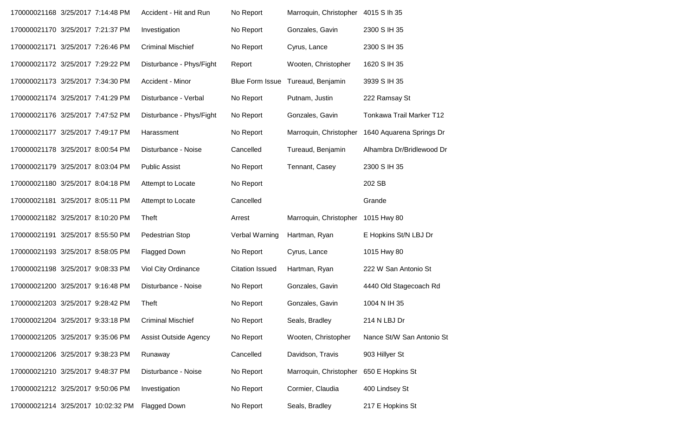| 170000021168 3/25/2017 7:14:48 PM |                                   | Accident - Hit and Run       | No Report              | Marroquin, Christopher 4015 S lh 35 |                           |
|-----------------------------------|-----------------------------------|------------------------------|------------------------|-------------------------------------|---------------------------|
| 170000021170 3/25/2017 7:21:37 PM |                                   | Investigation                | No Report              | Gonzales, Gavin                     | 2300 S IH 35              |
| 170000021171 3/25/2017 7:26:46 PM |                                   | <b>Criminal Mischief</b>     | No Report              | Cyrus, Lance                        | 2300 S IH 35              |
| 170000021172 3/25/2017 7:29:22 PM |                                   | Disturbance - Phys/Fight     | Report                 | Wooten, Christopher                 | 1620 S IH 35              |
| 170000021173 3/25/2017 7:34:30 PM |                                   | Accident - Minor             | <b>Blue Form Issue</b> | Tureaud, Benjamin                   | 3939 S IH 35              |
| 170000021174 3/25/2017 7:41:29 PM |                                   | Disturbance - Verbal         | No Report              | Putnam, Justin                      | 222 Ramsay St             |
| 170000021176 3/25/2017 7:47:52 PM |                                   | Disturbance - Phys/Fight     | No Report              | Gonzales, Gavin                     | Tonkawa Trail Marker T12  |
| 170000021177 3/25/2017 7:49:17 PM |                                   | Harassment                   | No Report              | Marroquin, Christopher              | 1640 Aquarena Springs Dr  |
| 170000021178 3/25/2017 8:00:54 PM |                                   | Disturbance - Noise          | Cancelled              | Tureaud, Benjamin                   | Alhambra Dr/Bridlewood Dr |
| 170000021179 3/25/2017 8:03:04 PM |                                   | <b>Public Assist</b>         | No Report              | Tennant, Casey                      | 2300 S IH 35              |
| 170000021180 3/25/2017 8:04:18 PM |                                   | Attempt to Locate            | No Report              |                                     | 202 SB                    |
| 170000021181 3/25/2017 8:05:11 PM |                                   | Attempt to Locate            | Cancelled              |                                     | Grande                    |
| 170000021182 3/25/2017 8:10:20 PM |                                   | Theft                        | Arrest                 | Marroquin, Christopher 1015 Hwy 80  |                           |
| 170000021191 3/25/2017 8:55:50 PM |                                   | Pedestrian Stop              | Verbal Warning         | Hartman, Ryan                       | E Hopkins St/N LBJ Dr     |
| 170000021193 3/25/2017 8:58:05 PM |                                   | Flagged Down                 | No Report              | Cyrus, Lance                        | 1015 Hwy 80               |
| 170000021198 3/25/2017 9:08:33 PM |                                   | Viol City Ordinance          | <b>Citation Issued</b> | Hartman, Ryan                       | 222 W San Antonio St      |
| 170000021200 3/25/2017 9:16:48 PM |                                   | Disturbance - Noise          | No Report              | Gonzales, Gavin                     | 4440 Old Stagecoach Rd    |
| 170000021203 3/25/2017 9:28:42 PM |                                   | Theft                        | No Report              | Gonzales, Gavin                     | 1004 N IH 35              |
| 170000021204 3/25/2017 9:33:18 PM |                                   | <b>Criminal Mischief</b>     | No Report              | Seals, Bradley                      | 214 N LBJ Dr              |
| 170000021205 3/25/2017 9:35:06 PM |                                   | <b>Assist Outside Agency</b> | No Report              | Wooten, Christopher                 | Nance St/W San Antonio St |
|                                   | 170000021206 3/25/2017 9:38:23 PM | Runaway                      | Cancelled              | Davidson, Travis                    | 903 Hillyer St            |
|                                   |                                   |                              |                        |                                     |                           |
| 170000021210 3/25/2017 9:48:37 PM |                                   | Disturbance - Noise          | No Report              | Marroquin, Christopher              | 650 E Hopkins St          |
| 170000021212 3/25/2017 9:50:06 PM |                                   | Investigation                | No Report              | Cormier, Claudia                    | 400 Lindsey St            |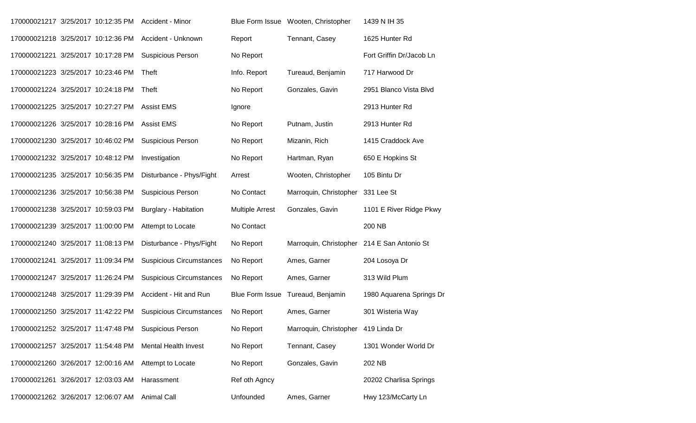| 170000021217 3/25/2017 10:12:35 PM |  | Accident - Minor                                     |                        | Blue Form Issue Wooten, Christopher | 1439 N IH 35             |
|------------------------------------|--|------------------------------------------------------|------------------------|-------------------------------------|--------------------------|
| 170000021218 3/25/2017 10:12:36 PM |  | Accident - Unknown                                   | Report                 | Tennant, Casey                      | 1625 Hunter Rd           |
| 170000021221 3/25/2017 10:17:28 PM |  | <b>Suspicious Person</b>                             | No Report              |                                     | Fort Griffin Dr/Jacob Ln |
| 170000021223 3/25/2017 10:23:46 PM |  | Theft                                                | Info. Report           | Tureaud, Benjamin                   | 717 Harwood Dr           |
| 170000021224 3/25/2017 10:24:18 PM |  | Theft                                                | No Report              | Gonzales, Gavin                     | 2951 Blanco Vista Blvd   |
| 170000021225 3/25/2017 10:27:27 PM |  | <b>Assist EMS</b>                                    | Ignore                 |                                     | 2913 Hunter Rd           |
| 170000021226 3/25/2017 10:28:16 PM |  | <b>Assist EMS</b>                                    | No Report              | Putnam, Justin                      | 2913 Hunter Rd           |
| 170000021230 3/25/2017 10:46:02 PM |  | <b>Suspicious Person</b>                             | No Report              | Mizanin, Rich                       | 1415 Craddock Ave        |
| 170000021232 3/25/2017 10:48:12 PM |  | Investigation                                        | No Report              | Hartman, Ryan                       | 650 E Hopkins St         |
| 170000021235 3/25/2017 10:56:35 PM |  | Disturbance - Phys/Fight                             | Arrest                 | Wooten, Christopher                 | 105 Bintu Dr             |
| 170000021236 3/25/2017 10:56:38 PM |  | <b>Suspicious Person</b>                             | No Contact             | Marroquin, Christopher              | 331 Lee St               |
| 170000021238 3/25/2017 10:59:03 PM |  | Burglary - Habitation                                | <b>Multiple Arrest</b> | Gonzales, Gavin                     | 1101 E River Ridge Pkwy  |
| 170000021239 3/25/2017 11:00:00 PM |  | Attempt to Locate                                    | No Contact             |                                     | 200 NB                   |
| 170000021240 3/25/2017 11:08:13 PM |  | Disturbance - Phys/Fight                             | No Report              | Marroquin, Christopher              | 214 E San Antonio St     |
| 170000021241 3/25/2017 11:09:34 PM |  | <b>Suspicious Circumstances</b>                      | No Report              | Ames, Garner                        | 204 Losoya Dr            |
| 170000021247 3/25/2017 11:26:24 PM |  | <b>Suspicious Circumstances</b>                      | No Report              | Ames, Garner                        | 313 Wild Plum            |
| 170000021248 3/25/2017 11:29:39 PM |  | Accident - Hit and Run                               | <b>Blue Form Issue</b> | Tureaud, Benjamin                   | 1980 Aquarena Springs Dr |
| 170000021250 3/25/2017 11:42:22 PM |  | <b>Suspicious Circumstances</b>                      | No Report              | Ames, Garner                        | 301 Wisteria Way         |
|                                    |  | 170000021252 3/25/2017 11:47:48 PM Suspicious Person | No Report              | Marroquin, Christopher 419 Linda Dr |                          |
| 170000021257 3/25/2017 11:54:48 PM |  | <b>Mental Health Invest</b>                          | No Report              | Tennant, Casey                      | 1301 Wonder World Dr     |
| 170000021260 3/26/2017 12:00:16 AM |  | Attempt to Locate                                    | No Report              | Gonzales, Gavin                     | 202 NB                   |
| 170000021261 3/26/2017 12:03:03 AM |  | Harassment                                           | Ref oth Agncy          |                                     | 20202 Charlisa Springs   |
| 170000021262 3/26/2017 12:06:07 AM |  | <b>Animal Call</b>                                   | Unfounded              | Ames, Garner                        | Hwy 123/McCarty Ln       |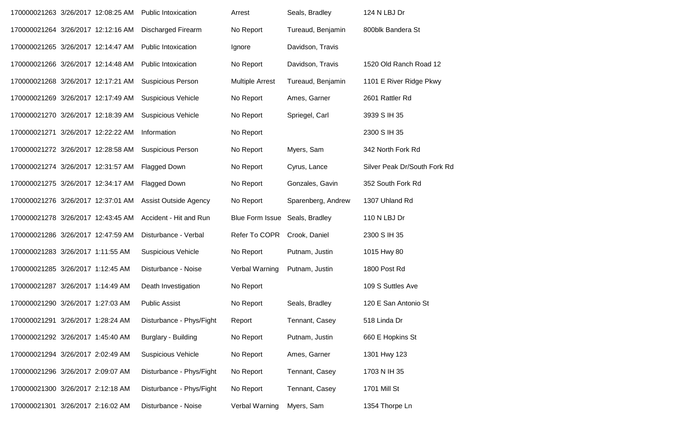| 170000021263 3/26/2017 12:08:25 AM |  | <b>Public Intoxication</b>   | Arrest                 | Seals, Bradley     | 124 N LBJ Dr                 |
|------------------------------------|--|------------------------------|------------------------|--------------------|------------------------------|
| 170000021264 3/26/2017 12:12:16 AM |  | <b>Discharged Firearm</b>    | No Report              | Tureaud, Benjamin  | 800blk Bandera St            |
| 170000021265 3/26/2017 12:14:47 AM |  | <b>Public Intoxication</b>   | Ignore                 | Davidson, Travis   |                              |
| 170000021266 3/26/2017 12:14:48 AM |  | <b>Public Intoxication</b>   | No Report              | Davidson, Travis   | 1520 Old Ranch Road 12       |
| 170000021268 3/26/2017 12:17:21 AM |  | <b>Suspicious Person</b>     | <b>Multiple Arrest</b> | Tureaud, Benjamin  | 1101 E River Ridge Pkwy      |
| 170000021269 3/26/2017 12:17:49 AM |  | <b>Suspicious Vehicle</b>    | No Report              | Ames, Garner       | 2601 Rattler Rd              |
| 170000021270 3/26/2017 12:18:39 AM |  | <b>Suspicious Vehicle</b>    | No Report              | Spriegel, Carl     | 3939 S IH 35                 |
| 170000021271 3/26/2017 12:22:22 AM |  | Information                  | No Report              |                    | 2300 S IH 35                 |
| 170000021272 3/26/2017 12:28:58 AM |  | <b>Suspicious Person</b>     | No Report              | Myers, Sam         | 342 North Fork Rd            |
| 170000021274 3/26/2017 12:31:57 AM |  | <b>Flagged Down</b>          | No Report              | Cyrus, Lance       | Silver Peak Dr/South Fork Rd |
| 170000021275 3/26/2017 12:34:17 AM |  | Flagged Down                 | No Report              | Gonzales, Gavin    | 352 South Fork Rd            |
| 170000021276 3/26/2017 12:37:01 AM |  | <b>Assist Outside Agency</b> | No Report              | Sparenberg, Andrew | 1307 Uhland Rd               |
| 170000021278 3/26/2017 12:43:45 AM |  | Accident - Hit and Run       | <b>Blue Form Issue</b> | Seals, Bradley     | 110 N LBJ Dr                 |
| 170000021286 3/26/2017 12:47:59 AM |  | Disturbance - Verbal         | Refer To COPR          | Crook, Daniel      | 2300 S IH 35                 |
| 170000021283 3/26/2017 1:11:55 AM  |  | <b>Suspicious Vehicle</b>    | No Report              | Putnam, Justin     | 1015 Hwy 80                  |
| 170000021285 3/26/2017 1:12:45 AM  |  | Disturbance - Noise          | Verbal Warning         | Putnam, Justin     | 1800 Post Rd                 |
| 170000021287 3/26/2017 1:14:49 AM  |  | Death Investigation          | No Report              |                    | 109 S Suttles Ave            |
| 170000021290 3/26/2017 1:27:03 AM  |  | <b>Public Assist</b>         | No Report              | Seals, Bradley     | 120 E San Antonio St         |
| 170000021291 3/26/2017 1:28:24 AM  |  | Disturbance - Phys/Fight     | Report                 | Tennant, Casey     | 518 Linda Dr                 |
| 170000021292 3/26/2017 1:45:40 AM  |  | Burglary - Building          | No Report              | Putnam, Justin     | 660 E Hopkins St             |
| 170000021294 3/26/2017 2:02:49 AM  |  | <b>Suspicious Vehicle</b>    | No Report              | Ames, Garner       | 1301 Hwy 123                 |
| 170000021296 3/26/2017 2:09:07 AM  |  | Disturbance - Phys/Fight     | No Report              | Tennant, Casey     | 1703 N IH 35                 |
| 170000021300 3/26/2017 2:12:18 AM  |  | Disturbance - Phys/Fight     | No Report              | Tennant, Casey     | 1701 Mill St                 |
| 170000021301 3/26/2017 2:16:02 AM  |  | Disturbance - Noise          | Verbal Warning         | Myers, Sam         | 1354 Thorpe Ln               |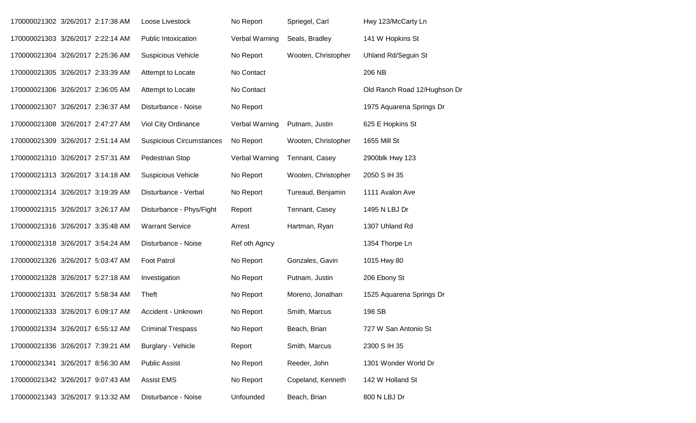| 170000021302 3/26/2017 2:17:38 AM |  | Loose Livestock                 | No Report      | Spriegel, Carl      | Hwy 123/McCarty Ln           |
|-----------------------------------|--|---------------------------------|----------------|---------------------|------------------------------|
| 170000021303 3/26/2017 2:22:14 AM |  | <b>Public Intoxication</b>      | Verbal Warning | Seals, Bradley      | 141 W Hopkins St             |
| 170000021304 3/26/2017 2:25:36 AM |  | <b>Suspicious Vehicle</b>       | No Report      | Wooten, Christopher | <b>Uhland Rd/Seguin St</b>   |
| 170000021305 3/26/2017 2:33:39 AM |  | Attempt to Locate               | No Contact     |                     | 206 NB                       |
| 170000021306 3/26/2017 2:36:05 AM |  | Attempt to Locate               | No Contact     |                     | Old Ranch Road 12/Hughson Dr |
| 170000021307 3/26/2017 2:36:37 AM |  | Disturbance - Noise             | No Report      |                     | 1975 Aquarena Springs Dr     |
| 170000021308 3/26/2017 2:47:27 AM |  | Viol City Ordinance             | Verbal Warning | Putnam, Justin      | 625 E Hopkins St             |
| 170000021309 3/26/2017 2:51:14 AM |  | <b>Suspicious Circumstances</b> | No Report      | Wooten, Christopher | 1655 Mill St                 |
| 170000021310 3/26/2017 2:57:31 AM |  | Pedestrian Stop                 | Verbal Warning | Tennant, Casey      | 2900blk Hwy 123              |
| 170000021313 3/26/2017 3:14:18 AM |  | <b>Suspicious Vehicle</b>       | No Report      | Wooten, Christopher | 2050 S IH 35                 |
| 170000021314 3/26/2017 3:19:39 AM |  | Disturbance - Verbal            | No Report      | Tureaud, Benjamin   | 1111 Avalon Ave              |
| 170000021315 3/26/2017 3:26:17 AM |  | Disturbance - Phys/Fight        | Report         | Tennant, Casey      | 1495 N LBJ Dr                |
| 170000021316 3/26/2017 3:35:48 AM |  | <b>Warrant Service</b>          | Arrest         | Hartman, Ryan       | 1307 Uhland Rd               |
| 170000021318 3/26/2017 3:54:24 AM |  | Disturbance - Noise             | Ref oth Agncy  |                     | 1354 Thorpe Ln               |
| 170000021326 3/26/2017 5:03:47 AM |  | <b>Foot Patrol</b>              | No Report      | Gonzales, Gavin     | 1015 Hwy 80                  |
| 170000021328 3/26/2017 5:27:18 AM |  | Investigation                   | No Report      | Putnam, Justin      | 206 Ebony St                 |
| 170000021331 3/26/2017 5:58:34 AM |  | Theft                           | No Report      | Moreno, Jonathan    | 1525 Aquarena Springs Dr     |
| 170000021333 3/26/2017 6:09:17 AM |  | Accident - Unknown              | No Report      | Smith, Marcus       | 198 SB                       |
| 170000021334 3/26/2017 6:55:12 AM |  | <b>Criminal Trespass</b>        | No Report      | Beach, Brian        | 727 W San Antonio St         |
| 170000021336 3/26/2017 7:39:21 AM |  | Burglary - Vehicle              | Report         | Smith, Marcus       | 2300 S IH 35                 |
| 170000021341 3/26/2017 8:56:30 AM |  | <b>Public Assist</b>            | No Report      | Reeder, John        | 1301 Wonder World Dr         |
| 170000021342 3/26/2017 9:07:43 AM |  | <b>Assist EMS</b>               | No Report      | Copeland, Kenneth   | 142 W Holland St             |
| 170000021343 3/26/2017 9:13:32 AM |  | Disturbance - Noise             | Unfounded      | Beach, Brian        | 800 N LBJ Dr                 |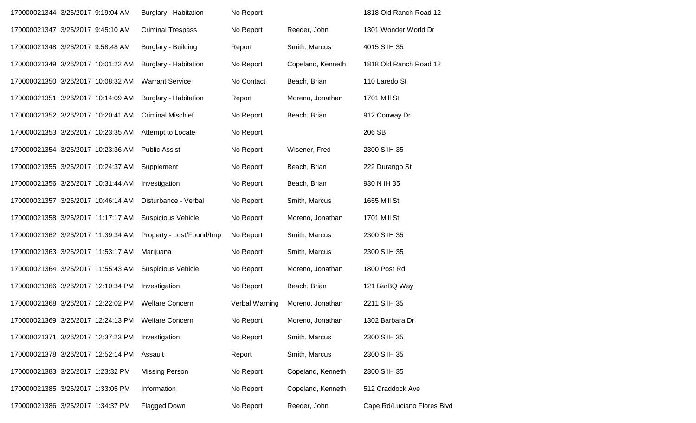| 170000021344 3/26/2017 9:19:04 AM  |  | <b>Burglary - Habitation</b> | No Report      |                   | 1818 Old Ranch Road 12      |
|------------------------------------|--|------------------------------|----------------|-------------------|-----------------------------|
| 170000021347 3/26/2017 9:45:10 AM  |  | <b>Criminal Trespass</b>     | No Report      | Reeder, John      | 1301 Wonder World Dr        |
| 170000021348 3/26/2017 9:58:48 AM  |  | Burglary - Building          | Report         | Smith, Marcus     | 4015 S IH 35                |
| 170000021349 3/26/2017 10:01:22 AM |  | <b>Burglary - Habitation</b> | No Report      | Copeland, Kenneth | 1818 Old Ranch Road 12      |
| 170000021350 3/26/2017 10:08:32 AM |  | <b>Warrant Service</b>       | No Contact     | Beach, Brian      | 110 Laredo St               |
| 170000021351 3/26/2017 10:14:09 AM |  | <b>Burglary - Habitation</b> | Report         | Moreno, Jonathan  | 1701 Mill St                |
| 170000021352 3/26/2017 10:20:41 AM |  | <b>Criminal Mischief</b>     | No Report      | Beach, Brian      | 912 Conway Dr               |
| 170000021353 3/26/2017 10:23:35 AM |  | Attempt to Locate            | No Report      |                   | 206 SB                      |
| 170000021354 3/26/2017 10:23:36 AM |  | <b>Public Assist</b>         | No Report      | Wisener, Fred     | 2300 S IH 35                |
| 170000021355 3/26/2017 10:24:37 AM |  | Supplement                   | No Report      | Beach, Brian      | 222 Durango St              |
| 170000021356 3/26/2017 10:31:44 AM |  | Investigation                | No Report      | Beach, Brian      | 930 N IH 35                 |
| 170000021357 3/26/2017 10:46:14 AM |  | Disturbance - Verbal         | No Report      | Smith, Marcus     | 1655 Mill St                |
| 170000021358 3/26/2017 11:17:17 AM |  | Suspicious Vehicle           | No Report      | Moreno, Jonathan  | 1701 Mill St                |
| 170000021362 3/26/2017 11:39:34 AM |  | Property - Lost/Found/Imp    | No Report      | Smith, Marcus     | 2300 S IH 35                |
| 170000021363 3/26/2017 11:53:17 AM |  | Marijuana                    | No Report      | Smith, Marcus     | 2300 S IH 35                |
| 170000021364 3/26/2017 11:55:43 AM |  | <b>Suspicious Vehicle</b>    | No Report      | Moreno, Jonathan  | 1800 Post Rd                |
| 170000021366 3/26/2017 12:10:34 PM |  | Investigation                | No Report      | Beach, Brian      | 121 BarBQ Way               |
| 170000021368 3/26/2017 12:22:02 PM |  | <b>Welfare Concern</b>       | Verbal Warning | Moreno, Jonathan  | 2211 S IH 35                |
| 170000021369 3/26/2017 12:24:13 PM |  | <b>Welfare Concern</b>       | No Report      | Moreno, Jonathan  | 1302 Barbara Dr             |
| 170000021371 3/26/2017 12:37:23 PM |  | Investigation                | No Report      | Smith, Marcus     | 2300 S IH 35                |
| 170000021378 3/26/2017 12:52:14 PM |  | Assault                      | Report         | Smith, Marcus     | 2300 S IH 35                |
| 170000021383 3/26/2017 1:23:32 PM  |  | <b>Missing Person</b>        | No Report      | Copeland, Kenneth | 2300 S IH 35                |
| 170000021385 3/26/2017 1:33:05 PM  |  | Information                  | No Report      | Copeland, Kenneth | 512 Craddock Ave            |
| 170000021386 3/26/2017 1:34:37 PM  |  | Flagged Down                 | No Report      | Reeder, John      | Cape Rd/Luciano Flores Blvd |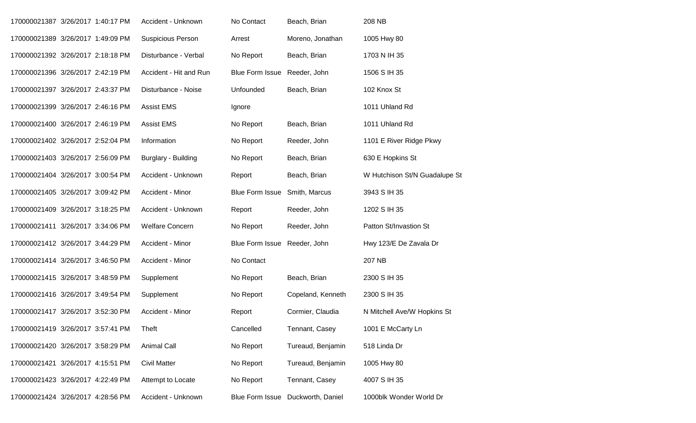| 170000021387 3/26/2017 1:40:17 PM |  | Accident - Unknown       | No Contact             | Beach, Brian      | 208 NB                        |
|-----------------------------------|--|--------------------------|------------------------|-------------------|-------------------------------|
| 170000021389 3/26/2017 1:49:09 PM |  | <b>Suspicious Person</b> | Arrest                 | Moreno, Jonathan  | 1005 Hwy 80                   |
| 170000021392 3/26/2017 2:18:18 PM |  | Disturbance - Verbal     | No Report              | Beach, Brian      | 1703 N IH 35                  |
| 170000021396 3/26/2017 2:42:19 PM |  | Accident - Hit and Run   | <b>Blue Form Issue</b> | Reeder, John      | 1506 S IH 35                  |
| 170000021397 3/26/2017 2:43:37 PM |  | Disturbance - Noise      | Unfounded              | Beach, Brian      | 102 Knox St                   |
| 170000021399 3/26/2017 2:46:16 PM |  | <b>Assist EMS</b>        | Ignore                 |                   | 1011 Uhland Rd                |
| 170000021400 3/26/2017 2:46:19 PM |  | <b>Assist EMS</b>        | No Report              | Beach, Brian      | 1011 Uhland Rd                |
| 170000021402 3/26/2017 2:52:04 PM |  | Information              | No Report              | Reeder, John      | 1101 E River Ridge Pkwy       |
| 170000021403 3/26/2017 2:56:09 PM |  | Burglary - Building      | No Report              | Beach, Brian      | 630 E Hopkins St              |
| 170000021404 3/26/2017 3:00:54 PM |  | Accident - Unknown       | Report                 | Beach, Brian      | W Hutchison St/N Guadalupe St |
| 170000021405 3/26/2017 3:09:42 PM |  | Accident - Minor         | <b>Blue Form Issue</b> | Smith, Marcus     | 3943 S IH 35                  |
| 170000021409 3/26/2017 3:18:25 PM |  | Accident - Unknown       | Report                 | Reeder, John      | 1202 S IH 35                  |
| 170000021411 3/26/2017 3:34:06 PM |  | <b>Welfare Concern</b>   | No Report              | Reeder, John      | Patton St/Invastion St        |
| 170000021412 3/26/2017 3:44:29 PM |  | Accident - Minor         | <b>Blue Form Issue</b> | Reeder, John      | Hwy 123/E De Zavala Dr        |
| 170000021414 3/26/2017 3:46:50 PM |  | Accident - Minor         | No Contact             |                   | 207 NB                        |
| 170000021415 3/26/2017 3:48:59 PM |  | Supplement               | No Report              | Beach, Brian      | 2300 S IH 35                  |
| 170000021416 3/26/2017 3:49:54 PM |  | Supplement               | No Report              | Copeland, Kenneth | 2300 S IH 35                  |
| 170000021417 3/26/2017 3:52:30 PM |  | Accident - Minor         | Report                 | Cormier, Claudia  | N Mitchell Ave/W Hopkins St   |
| 170000021419 3/26/2017 3:57:41 PM |  | Theft                    | Cancelled              | Tennant, Casey    | 1001 E McCarty Ln             |
| 170000021420 3/26/2017 3:58:29 PM |  | <b>Animal Call</b>       | No Report              | Tureaud, Benjamin | 518 Linda Dr                  |
| 170000021421 3/26/2017 4:15:51 PM |  | <b>Civil Matter</b>      | No Report              | Tureaud, Benjamin | 1005 Hwy 80                   |
| 170000021423 3/26/2017 4:22:49 PM |  | Attempt to Locate        | No Report              | Tennant, Casey    | 4007 S IH 35                  |
| 170000021424 3/26/2017 4:28:56 PM |  | Accident - Unknown       | <b>Blue Form Issue</b> | Duckworth, Daniel | 1000blk Wonder World Dr       |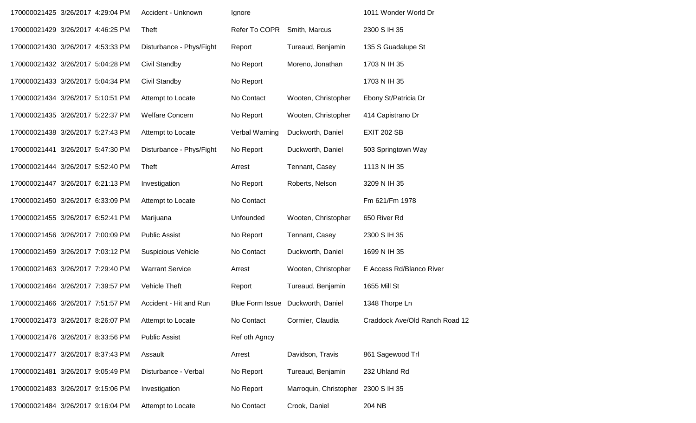| 170000021425 3/26/2017 4:29:04 PM |  | Accident - Unknown        | Ignore                 |                        | 1011 Wonder World Dr           |
|-----------------------------------|--|---------------------------|------------------------|------------------------|--------------------------------|
| 170000021429 3/26/2017 4:46:25 PM |  | Theft                     | Refer To COPR          | Smith, Marcus          | 2300 S IH 35                   |
| 170000021430 3/26/2017 4:53:33 PM |  | Disturbance - Phys/Fight  | Report                 | Tureaud, Benjamin      | 135 S Guadalupe St             |
| 170000021432 3/26/2017 5:04:28 PM |  | Civil Standby             | No Report              | Moreno, Jonathan       | 1703 N IH 35                   |
| 170000021433 3/26/2017 5:04:34 PM |  | Civil Standby             | No Report              |                        | 1703 N IH 35                   |
| 170000021434 3/26/2017 5:10:51 PM |  | Attempt to Locate         | No Contact             | Wooten, Christopher    | Ebony St/Patricia Dr           |
| 170000021435 3/26/2017 5:22:37 PM |  | <b>Welfare Concern</b>    | No Report              | Wooten, Christopher    | 414 Capistrano Dr              |
| 170000021438 3/26/2017 5:27:43 PM |  | Attempt to Locate         | Verbal Warning         | Duckworth, Daniel      | <b>EXIT 202 SB</b>             |
| 170000021441 3/26/2017 5:47:30 PM |  | Disturbance - Phys/Fight  | No Report              | Duckworth, Daniel      | 503 Springtown Way             |
| 170000021444 3/26/2017 5:52:40 PM |  | Theft                     | Arrest                 | Tennant, Casey         | 1113 N IH 35                   |
| 170000021447 3/26/2017 6:21:13 PM |  | Investigation             | No Report              | Roberts, Nelson        | 3209 N IH 35                   |
| 170000021450 3/26/2017 6:33:09 PM |  | Attempt to Locate         | No Contact             |                        | Fm 621/Fm 1978                 |
| 170000021455 3/26/2017 6:52:41 PM |  | Marijuana                 | Unfounded              | Wooten, Christopher    | 650 River Rd                   |
| 170000021456 3/26/2017 7:00:09 PM |  | <b>Public Assist</b>      | No Report              | Tennant, Casey         | 2300 S IH 35                   |
| 170000021459 3/26/2017 7:03:12 PM |  | <b>Suspicious Vehicle</b> | No Contact             | Duckworth, Daniel      | 1699 N IH 35                   |
| 170000021463 3/26/2017 7:29:40 PM |  | <b>Warrant Service</b>    | Arrest                 | Wooten, Christopher    | E Access Rd/Blanco River       |
| 170000021464 3/26/2017 7:39:57 PM |  | Vehicle Theft             | Report                 | Tureaud, Benjamin      | 1655 Mill St                   |
| 170000021466 3/26/2017 7:51:57 PM |  | Accident - Hit and Run    | <b>Blue Form Issue</b> | Duckworth, Daniel      | 1348 Thorpe Ln                 |
| 170000021473 3/26/2017 8:26:07 PM |  | Attempt to Locate         | No Contact             | Cormier, Claudia       | Craddock Ave/Old Ranch Road 12 |
| 170000021476 3/26/2017 8:33:56 PM |  | <b>Public Assist</b>      | Ref oth Agncy          |                        |                                |
| 170000021477 3/26/2017 8:37:43 PM |  | Assault                   | Arrest                 | Davidson, Travis       | 861 Sagewood Trl               |
| 170000021481 3/26/2017 9:05:49 PM |  | Disturbance - Verbal      | No Report              | Tureaud, Benjamin      | 232 Uhland Rd                  |
| 170000021483 3/26/2017 9:15:06 PM |  | Investigation             | No Report              | Marroquin, Christopher | 2300 S IH 35                   |
| 170000021484 3/26/2017 9:16:04 PM |  | Attempt to Locate         | No Contact             | Crook, Daniel          | 204 NB                         |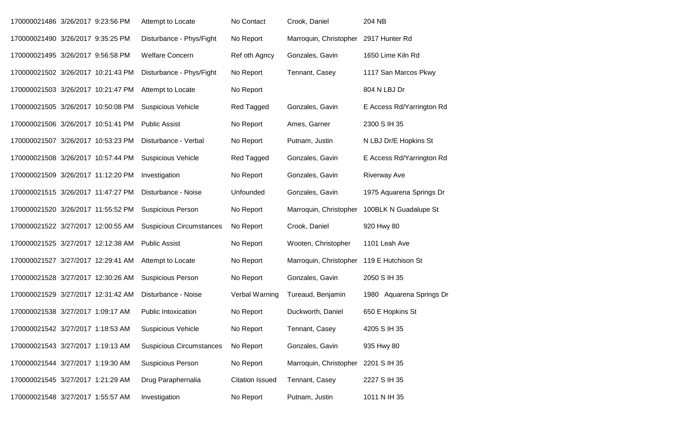| 170000021486 3/26/2017 9:23:56 PM  |  | Attempt to Locate               | No Contact             | Crook, Daniel          | 204 NB                    |
|------------------------------------|--|---------------------------------|------------------------|------------------------|---------------------------|
| 170000021490 3/26/2017 9:35:25 PM  |  | Disturbance - Phys/Fight        | No Report              | Marroquin, Christopher | 2917 Hunter Rd            |
| 170000021495 3/26/2017 9:56:58 PM  |  | <b>Welfare Concern</b>          | Ref oth Agncy          | Gonzales, Gavin        | 1650 Lime Kiln Rd         |
| 170000021502 3/26/2017 10:21:43 PM |  | Disturbance - Phys/Fight        | No Report              | Tennant, Casey         | 1117 San Marcos Pkwy      |
| 170000021503 3/26/2017 10:21:47 PM |  | Attempt to Locate               | No Report              |                        | 804 N LBJ Dr              |
| 170000021505 3/26/2017 10:50:08 PM |  | <b>Suspicious Vehicle</b>       | Red Tagged             | Gonzales, Gavin        | E Access Rd/Yarrington Rd |
| 170000021506 3/26/2017 10:51:41 PM |  | <b>Public Assist</b>            | No Report              | Ames, Garner           | 2300 S IH 35              |
| 170000021507 3/26/2017 10:53:23 PM |  | Disturbance - Verbal            | No Report              | Putnam, Justin         | N LBJ Dr/E Hopkins St     |
| 170000021508 3/26/2017 10:57:44 PM |  | <b>Suspicious Vehicle</b>       | Red Tagged             | Gonzales, Gavin        | E Access Rd/Yarrington Rd |
| 170000021509 3/26/2017 11:12:20 PM |  | Investigation                   | No Report              | Gonzales, Gavin        | <b>Riverway Ave</b>       |
| 170000021515 3/26/2017 11:47:27 PM |  | Disturbance - Noise             | Unfounded              | Gonzales, Gavin        | 1975 Aquarena Springs Dr  |
| 170000021520 3/26/2017 11:55:52 PM |  | <b>Suspicious Person</b>        | No Report              | Marroquin, Christopher | 100BLK N Guadalupe St     |
| 170000021522 3/27/2017 12:00:55 AM |  | <b>Suspicious Circumstances</b> | No Report              | Crook, Daniel          | 920 Hwy 80                |
| 170000021525 3/27/2017 12:12:38 AM |  | <b>Public Assist</b>            | No Report              | Wooten, Christopher    | 1101 Leah Ave             |
| 170000021527 3/27/2017 12:29:41 AM |  | Attempt to Locate               | No Report              | Marroquin, Christopher | 119 E Hutchison St        |
| 170000021528 3/27/2017 12:30:26 AM |  | <b>Suspicious Person</b>        | No Report              | Gonzales, Gavin        | 2050 S IH 35              |
| 170000021529 3/27/2017 12:31:42 AM |  | Disturbance - Noise             | Verbal Warning         | Tureaud, Benjamin      | 1980 Aquarena Springs Dr  |
| 170000021538 3/27/2017 1:09:17 AM  |  | <b>Public Intoxication</b>      | No Report              | Duckworth, Daniel      | 650 E Hopkins St          |
| 170000021542 3/27/2017 1:18:53 AM  |  | <b>Suspicious Vehicle</b>       | No Report              | Tennant, Casey         | 4205 S IH 35              |
| 170000021543 3/27/2017 1:19:13 AM  |  | <b>Suspicious Circumstances</b> | No Report              | Gonzales, Gavin        | 935 Hwy 80                |
| 170000021544 3/27/2017 1:19:30 AM  |  | <b>Suspicious Person</b>        | No Report              | Marroquin, Christopher | 2201 S IH 35              |
| 170000021545 3/27/2017 1:21:29 AM  |  | Drug Paraphernalia              | <b>Citation Issued</b> | Tennant, Casey         | 2227 S IH 35              |
| 170000021548 3/27/2017 1:55:57 AM  |  | Investigation                   | No Report              | Putnam, Justin         | 1011 N IH 35              |